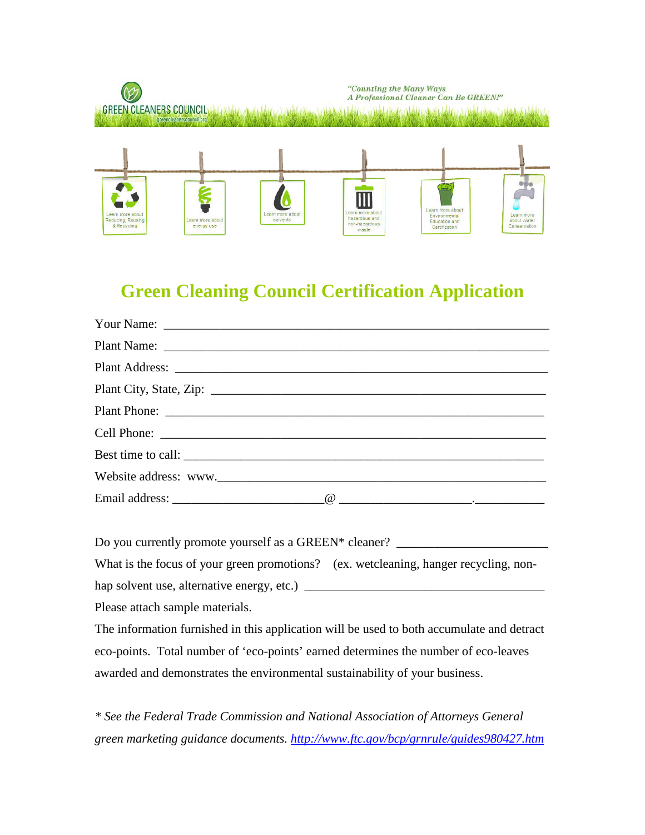

# **Green Cleaning Council Certification Application**

| Best time to call: |  |
|--------------------|--|
|                    |  |
|                    |  |

Do you currently promote yourself as a GREEN\* cleaner? \_\_\_\_\_\_\_\_\_\_\_\_\_\_\_\_\_\_\_\_\_\_\_\_\_

What is the focus of your green promotions? (ex. wetcleaning, hanger recycling, nonhap solvent use, alternative energy, etc.) \_\_\_\_\_\_\_\_\_\_\_\_\_\_\_\_\_\_\_\_\_\_\_\_\_\_\_\_\_\_\_\_\_\_\_\_\_\_

Please attach sample materials.

The information furnished in this application will be used to both accumulate and detract eco-points. Total number of 'eco-points' earned determines the number of eco-leaves awarded and demonstrates the environmental sustainability of your business.

*\* See the [Federal Trade Commission](http://www.ftc.gov/bcp/grnrule/guides980427.htm) and National Association of Attorneys General green marketing guidance documents.<http://www.ftc.gov/bcp/grnrule/guides980427.htm>*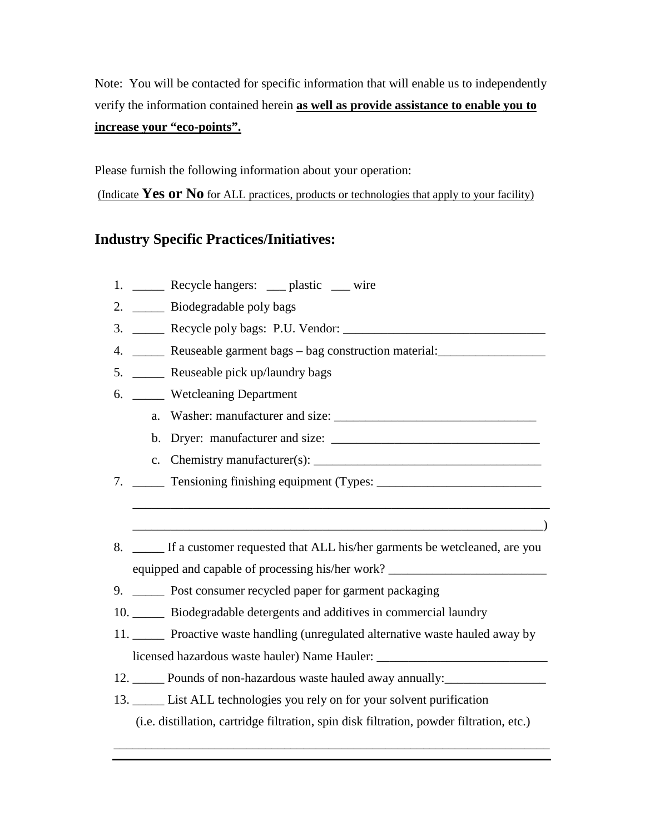Note: You will be contacted for specific information that will enable us to independently verify the information contained herein **as well as provide assistance to enable you to increase your "eco-points".**

Please furnish the following information about your operation:

(Indicate **Yes or No** for ALL practices, products or technologies that apply to your facility)

### **Industry Specific Practices/Initiatives:**

- 1. Recycle hangers: plastic wire
- 2. \_\_\_\_\_ Biodegradable poly bags
- 3. \_\_\_\_\_ Recycle poly bags: P.U. Vendor: \_\_\_\_\_\_\_\_\_\_\_\_\_\_\_\_\_\_\_\_\_\_\_\_\_\_\_\_\_\_\_\_
- 4. \_\_\_\_\_ Reuseable garment bags bag construction material: \_\_\_\_\_\_\_\_\_\_\_\_\_\_\_\_\_\_\_
- 5. \_\_\_\_\_ Reuseable pick up/laundry bags
- 6. \_\_\_\_\_ Wetcleaning Department
	- a. Washer: manufacturer and size:
	- b. Dryer: manufacturer and size: \_\_\_\_\_\_\_\_\_\_\_\_\_\_\_\_\_\_\_\_\_\_\_\_\_\_\_\_\_\_\_\_\_

\_\_\_\_\_\_\_\_\_\_\_\_\_\_\_\_\_\_\_\_\_\_\_\_\_\_\_\_\_\_\_\_\_\_\_\_\_\_\_\_\_\_\_\_\_\_\_\_\_\_\_\_\_\_\_\_\_\_\_\_\_\_\_\_\_\_

 $\qquad \qquad$ 

- c. Chemistry manufacturer(s):  $\Box$
- 7. \_\_\_\_\_ Tensioning finishing equipment (Types: \_\_\_\_\_\_\_\_\_\_\_\_\_\_\_\_\_\_\_\_\_\_\_\_\_\_\_\_\_\_\_\_
- 8. If a customer requested that ALL his/her garments be wetcleaned, are you equipped and capable of processing his/her work?
- 9. \_\_\_\_\_ Post consumer recycled paper for garment packaging
- 10. \_\_\_\_\_ Biodegradable detergents and additives in commercial laundry
- 11. \_\_\_\_\_ Proactive waste handling (unregulated alternative waste hauled away by licensed hazardous waste hauler) Name Hauler:
- 12. Pounds of non-hazardous waste hauled away annually:
- 13. \_\_\_\_\_ List ALL technologies you rely on for your solvent purification (i.e. distillation, cartridge filtration, spin disk filtration, powder filtration, etc.)

\_\_\_\_\_\_\_\_\_\_\_\_\_\_\_\_\_\_\_\_\_\_\_\_\_\_\_\_\_\_\_\_\_\_\_\_\_\_\_\_\_\_\_\_\_\_\_\_\_\_\_\_\_\_\_\_\_\_\_\_\_\_\_\_\_\_\_\_\_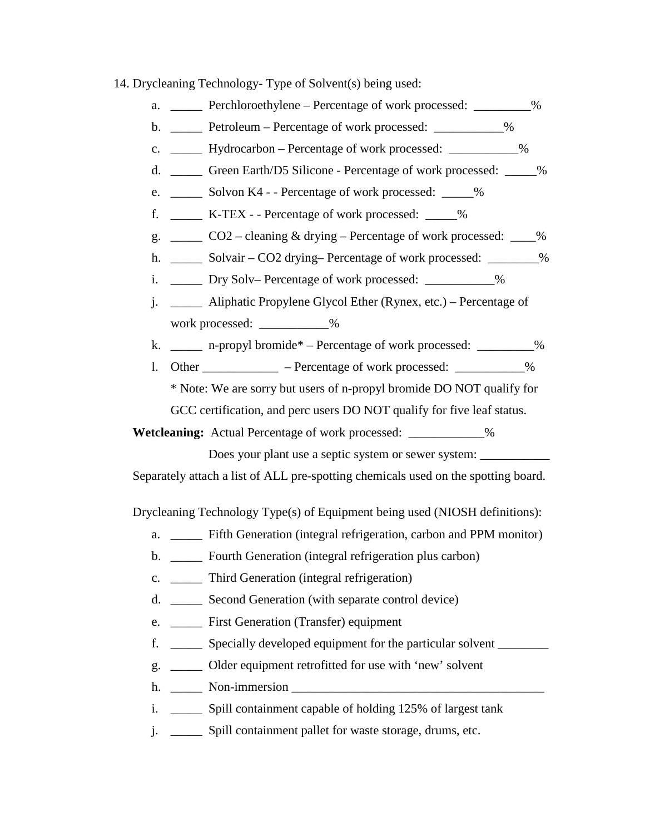- 14. Drycleaning Technology- Type of Solvent(s) being used:
	- a. Perchloroethylene Percentage of work processed:  $\%$
	- b. \_\_\_\_\_ Petroleum Percentage of work processed: \_\_\_\_\_\_\_\_\_\_\_%
	- c. \_\_\_\_\_ Hydrocarbon Percentage of work processed: \_\_\_\_\_\_\_\_\_\_\_%
	- d. \_\_\_\_\_ Green Earth/D5 Silicone Percentage of work processed: \_\_\_\_\_%
	- e. \_\_\_\_\_\_ Solvon K4 - Percentage of work processed:  $\%$
	- f. \_\_\_\_\_ K-TEX - Percentage of work processed: \_\_\_\_\_%
	- g. \_\_\_\_\_ CO2 cleaning & drying Percentage of work processed: \_\_\_\_%
	- h. \_\_\_\_\_\_ Solvair CO2 drying– Percentage of work processed: \_\_\_\_\_\_\_\_\_%
	- i. \_\_\_\_\_ Dry Solv– Percentage of work processed: \_\_\_\_\_\_\_\_\_\_%
	- j. \_\_\_\_\_ Aliphatic Propylene Glycol Ether (Rynex, etc.) Percentage of work processed: \_\_\_\_\_\_\_\_\_\_\_%
	- k. \_\_\_\_\_ n-propyl bromide\* Percentage of work processed: \_\_\_\_\_\_\_\_\_%
	- 1. Other \_\_\_\_\_\_\_\_\_\_\_ Percentage of work processed: \_\_\_\_\_\_\_\_\_\_\_%

\* Note: We are sorry but users of n-propyl bromide DO NOT qualify for GCC certification, and perc users DO NOT qualify for five leaf status.

 **Wetcleaning:** Actual Percentage of work processed: \_\_\_\_\_\_\_\_\_\_\_\_%

Does your plant use a septic system or sewer system:

Separately attach a list of ALL pre-spotting chemicals used on the spotting board.

Drycleaning Technology Type(s) of Equipment being used (NIOSH definitions):

- a. Fifth Generation (integral refrigeration, carbon and PPM monitor)
- b. \_\_\_\_\_\_ Fourth Generation (integral refrigeration plus carbon)
- c. \_\_\_\_\_ Third Generation (integral refrigeration)
- d. \_\_\_\_\_ Second Generation (with separate control device)
- e. \_\_\_\_\_ First Generation (Transfer) equipment
- f. \_\_\_\_\_ Specially developed equipment for the particular solvent \_\_\_\_\_\_\_\_
- g. \_\_\_\_\_ Older equipment retrofitted for use with 'new' solvent
- h. \_\_\_\_\_ Non-immersion \_\_\_\_\_\_\_\_\_\_\_\_\_\_\_\_\_\_\_\_\_\_\_\_\_\_\_\_\_\_\_\_\_\_\_\_\_\_\_\_
- i. Spill containment capable of holding 125% of largest tank
- j. \_\_\_\_\_ Spill containment pallet for waste storage, drums, etc.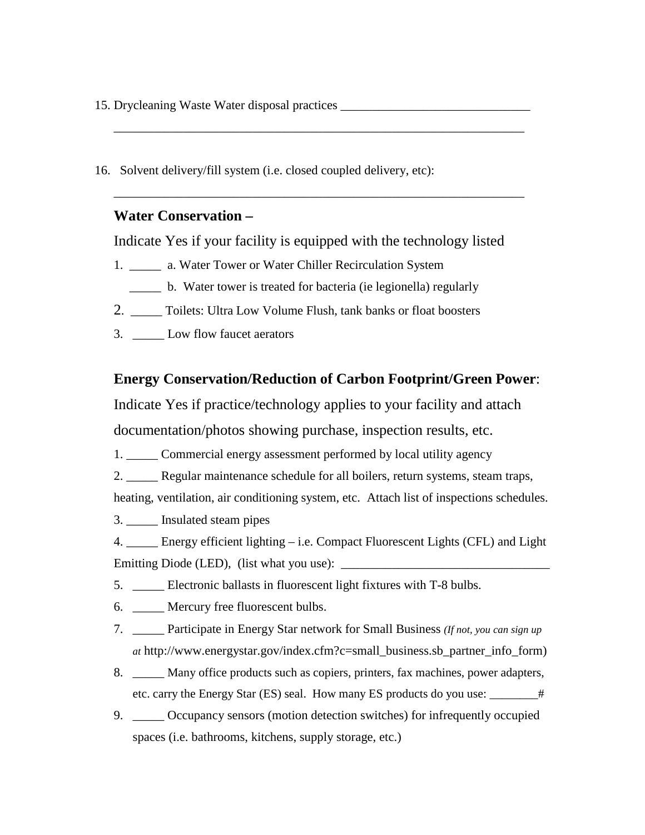15. Drycleaning Waste Water disposal practices \_\_\_\_\_\_\_\_\_\_\_\_\_\_\_\_\_\_\_\_\_\_\_\_\_\_\_\_\_\_

\_\_\_\_\_\_\_\_\_\_\_\_\_\_\_\_\_\_\_\_\_\_\_\_\_\_\_\_\_\_\_\_\_\_\_\_\_\_\_\_\_\_\_\_\_\_\_\_\_\_\_\_\_\_\_\_\_\_\_\_\_\_\_\_\_

\_\_\_\_\_\_\_\_\_\_\_\_\_\_\_\_\_\_\_\_\_\_\_\_\_\_\_\_\_\_\_\_\_\_\_\_\_\_\_\_\_\_\_\_\_\_\_\_\_\_\_\_\_\_\_\_\_\_\_\_\_\_\_\_\_

16. Solvent delivery/fill system (i.e. closed coupled delivery, etc):

#### **Water Conservation –**

Indicate Yes if your facility is equipped with the technology listed

- 1. \_\_\_\_\_\_ a. Water Tower or Water Chiller Recirculation System
	- \_\_\_\_\_ b. Water tower is treated for bacteria (ie legionella) regularly
- 2. \_\_\_\_\_ Toilets: Ultra Low Volume Flush, tank banks or float boosters
- 3. \_\_\_\_\_ Low flow faucet aerators

#### **Energy Conservation/Reduction of Carbon Footprint/Green Power**:

Indicate Yes if practice/technology applies to your facility and attach documentation/photos showing purchase, inspection results, etc.

1. \_\_\_\_\_ Commercial energy assessment performed by local utility agency

2. \_\_\_\_\_ Regular maintenance schedule for all boilers, return systems, steam traps,

heating, ventilation, air conditioning system, etc. Attach list of inspections schedules.

3. \_\_\_\_\_ Insulated steam pipes

4. \_\_\_\_\_ Energy efficient lighting – i.e. Compact Fluorescent Lights (CFL) and Light Emitting Diode (LED), (list what you use):

- 5. **\_\_\_\_** Electronic ballasts in fluorescent light fixtures with T-8 bulbs.
- 6. \_\_\_\_\_ Mercury free fluorescent bulbs.
- 7. \_\_\_\_\_ Participate in Energy Star network for Small Business *(If not, you can sign up at* http://www.energystar.gov/index.cfm?c=small\_business.sb\_partner\_info\_form)
- 8. \_\_\_\_\_ Many office products such as copiers, printers, fax machines, power adapters, etc. carry the Energy Star (ES) seal. How many ES products do you use: \_\_\_\_\_\_\_\_#
- 9. \_\_\_\_\_ Occupancy sensors (motion detection switches) for infrequently occupied spaces (i.e. bathrooms, kitchens, supply storage, etc.)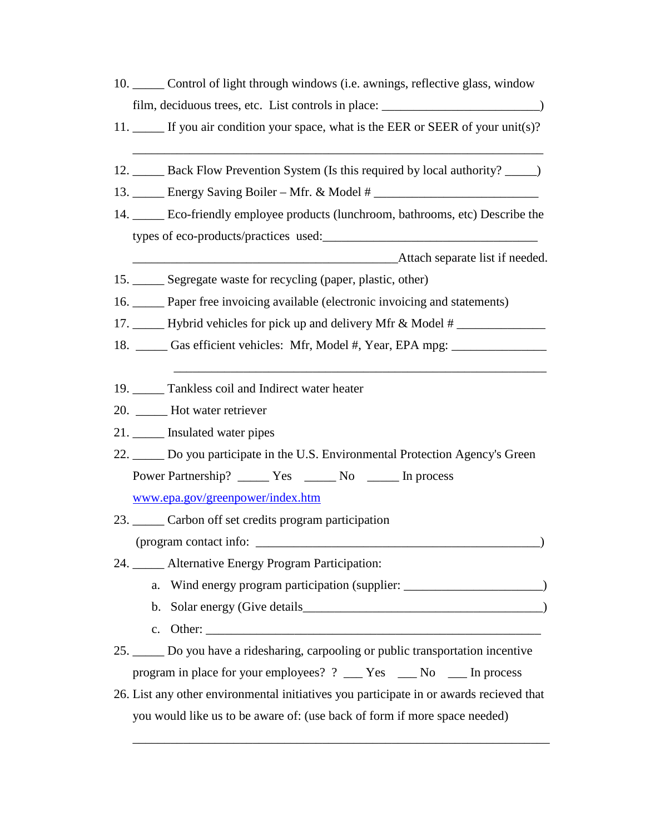- 10. \_\_\_\_\_ Control of light through windows (i.e. awnings, reflective glass, window film, deciduous trees, etc. List controls in place:
- 11. \_\_\_\_\_ If you air condition your space, what is the EER or SEER of your unit(s)?

\_\_\_\_\_\_\_\_\_\_\_\_\_\_\_\_\_\_\_\_\_\_\_\_\_\_\_\_\_\_\_\_\_\_\_\_\_\_\_\_\_\_\_\_\_\_\_\_\_\_\_\_\_\_\_\_\_\_\_\_\_\_\_\_\_

- 12. \_\_\_\_\_ Back Flow Prevention System (Is this required by local authority? \_\_\_\_\_)
- 13. Energy Saving Boiler Mfr. & Model #
- 14. \_\_\_\_\_ Eco-friendly employee products (lunchroom, bathrooms, etc) Describe the types of eco-products/practices used:\_\_\_\_\_\_\_\_\_\_\_\_\_\_\_\_\_\_\_\_\_\_\_\_\_\_\_\_\_\_\_\_\_\_

Attach separate list if needed.

- 15. Segregate waste for recycling (paper, plastic, other)
- 16. \_\_\_\_\_ Paper free invoicing available (electronic invoicing and statements)
- 17. \_\_\_\_\_ Hybrid vehicles for pick up and delivery Mfr & Model # \_\_\_\_\_\_\_\_\_\_\_\_\_\_\_
- 18. \_\_\_\_\_ Gas efficient vehicles: Mfr, Model #, Year, EPA mpg: \_\_\_\_\_\_\_\_\_\_\_\_\_\_\_\_\_
- 19. Tankless coil and Indirect water heater
- 20. \_\_\_\_\_ Hot water retriever
- 21. \_\_\_\_\_ Insulated water pipes
- 22. \_\_\_\_\_ Do you participate in the U.S. Environmental Protection Agency's Green Power Partnership? \_\_\_\_\_\_ Yes \_\_\_\_\_\_ No \_\_\_\_\_\_ In process

 $\overline{\phantom{a}}$  ,  $\overline{\phantom{a}}$  ,  $\overline{\phantom{a}}$  ,  $\overline{\phantom{a}}$  ,  $\overline{\phantom{a}}$  ,  $\overline{\phantom{a}}$  ,  $\overline{\phantom{a}}$  ,  $\overline{\phantom{a}}$  ,  $\overline{\phantom{a}}$  ,  $\overline{\phantom{a}}$  ,  $\overline{\phantom{a}}$  ,  $\overline{\phantom{a}}$  ,  $\overline{\phantom{a}}$  ,  $\overline{\phantom{a}}$  ,  $\overline{\phantom{a}}$  ,  $\overline{\phantom{a}}$ 

[www.epa.gov/greenpower/index.htm](http://www.epa.gov/greenpower/index.htm)

- 23. \_\_\_\_\_ Carbon off set credits program participation  $(\text{program contact info: } \_\_\_\_\_\_\_\_\_\_\_\_$
- 24. Alternative Energy Program Participation:
	- a. Wind energy program participation (supplier: \_\_\_\_\_\_\_\_\_\_\_\_\_\_\_\_\_\_\_\_\_\_\_\_\_\_\_\_\_\_\_\_)
	- b. Solar energy (Give details\_\_\_\_\_\_\_\_\_\_\_\_\_\_\_\_\_\_\_\_\_\_\_\_\_\_\_\_\_\_\_\_\_\_\_\_\_\_)
	- c. Other:
- 25. \_\_\_\_\_ Do you have a ridesharing, carpooling or public transportation incentive program in place for your employees? ? \_\_\_ Yes \_\_\_ No \_\_\_ In process
- 26. List any other environmental initiatives you participate in or awards recieved that you would like us to be aware of: (use back of form if more space needed)

\_\_\_\_\_\_\_\_\_\_\_\_\_\_\_\_\_\_\_\_\_\_\_\_\_\_\_\_\_\_\_\_\_\_\_\_\_\_\_\_\_\_\_\_\_\_\_\_\_\_\_\_\_\_\_\_\_\_\_\_\_\_\_\_\_\_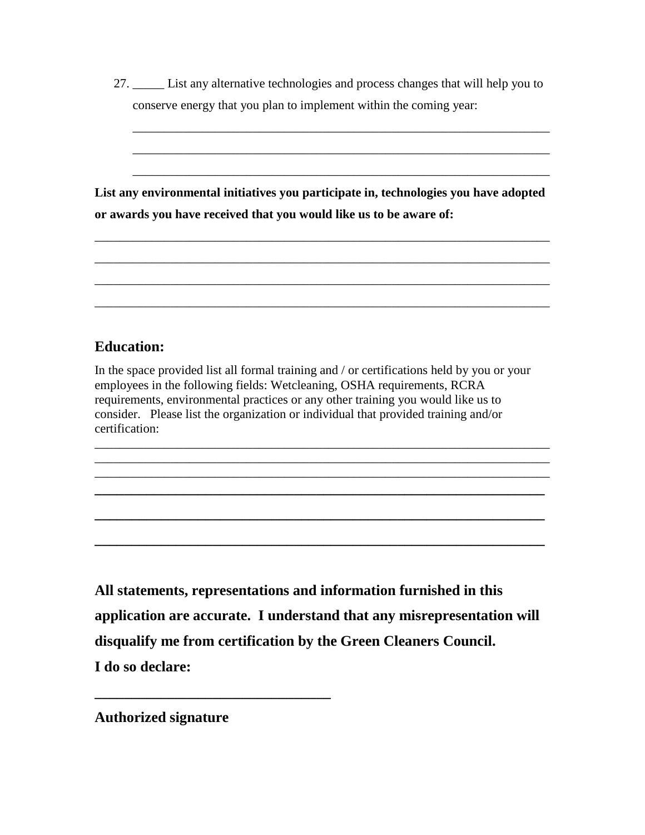| List any alternative technologies and process changes that will help you to |  |  |
|-----------------------------------------------------------------------------|--|--|
| conserve energy that you plan to implement within the coming year:          |  |  |
|                                                                             |  |  |
|                                                                             |  |  |

\_\_\_\_\_\_\_\_\_\_\_\_\_\_\_\_\_\_\_\_\_\_\_\_\_\_\_\_\_\_\_\_\_\_\_\_\_\_\_\_\_\_\_\_\_\_\_\_\_\_\_\_\_\_\_\_\_\_\_\_\_\_\_\_\_\_

\_\_\_\_\_\_\_\_\_\_\_\_\_\_\_\_\_\_\_\_\_\_\_\_\_\_\_\_\_\_\_\_\_\_\_\_\_\_\_\_\_\_\_\_\_\_\_\_\_\_\_\_\_\_\_\_\_\_\_\_\_\_\_\_\_\_

**List any environmental initiatives you participate in, technologies you have adopted or awards you have received that you would like us to be aware of:**

\_\_\_\_\_\_\_\_\_\_\_\_\_\_\_\_\_\_\_\_\_\_\_\_\_\_\_\_\_\_\_\_\_\_\_\_\_\_\_\_\_\_\_\_\_\_\_\_\_\_\_\_\_\_\_\_\_\_\_\_\_\_\_\_\_\_\_\_\_\_\_\_

\_\_\_\_\_\_\_\_\_\_\_\_\_\_\_\_\_\_\_\_\_\_\_\_\_\_\_\_\_\_\_\_\_\_\_\_\_\_\_\_\_\_\_\_\_\_\_\_\_\_\_\_\_\_\_\_\_\_\_\_\_\_\_\_\_\_\_\_\_\_\_\_

\_\_\_\_\_\_\_\_\_\_\_\_\_\_\_\_\_\_\_\_\_\_\_\_\_\_\_\_\_\_\_\_\_\_\_\_\_\_\_\_\_\_\_\_\_\_\_\_\_\_\_\_\_\_\_\_\_\_\_\_\_\_\_\_\_\_\_\_\_\_\_\_

\_\_\_\_\_\_\_\_\_\_\_\_\_\_\_\_\_\_\_\_\_\_\_\_\_\_\_\_\_\_\_\_\_\_\_\_\_\_\_\_\_\_\_\_\_\_\_\_\_\_\_\_\_\_\_\_\_\_\_\_\_\_\_\_\_\_\_\_\_\_\_\_

### **Education:**

In the space provided list all formal training and / or certifications held by you or your employees in the following fields: Wetcleaning, OSHA requirements, RCRA requirements, environmental practices or any other training you would like us to consider. Please list the organization or individual that provided training and/or certification:

\_\_\_\_\_\_\_\_\_\_\_\_\_\_\_\_\_\_\_\_\_\_\_\_\_\_\_\_\_\_\_\_\_\_\_\_\_\_\_\_\_\_\_\_\_\_\_\_\_\_\_\_\_\_\_\_\_\_\_\_\_\_\_\_\_\_\_\_\_\_\_\_ \_\_\_\_\_\_\_\_\_\_\_\_\_\_\_\_\_\_\_\_\_\_\_\_\_\_\_\_\_\_\_\_\_\_\_\_\_\_\_\_\_\_\_\_\_\_\_\_\_\_\_\_\_\_\_\_\_\_\_\_\_\_\_\_\_\_\_\_\_\_\_\_ \_\_\_\_\_\_\_\_\_\_\_\_\_\_\_\_\_\_\_\_\_\_\_\_\_\_\_\_\_\_\_\_\_\_\_\_\_\_\_\_\_\_\_\_\_\_\_\_\_\_\_\_\_\_\_\_\_\_\_\_\_\_\_\_\_\_\_\_\_\_\_\_ **\_\_\_\_\_\_\_\_\_\_\_\_\_\_\_\_\_\_\_\_\_\_\_\_\_\_\_\_\_\_\_\_\_\_\_\_\_\_\_\_\_\_\_\_\_\_\_\_\_\_\_\_\_\_\_\_\_\_\_\_\_**

**\_\_\_\_\_\_\_\_\_\_\_\_\_\_\_\_\_\_\_\_\_\_\_\_\_\_\_\_\_\_\_\_\_\_\_\_\_\_\_\_\_\_\_\_\_\_\_\_\_\_\_\_\_\_\_\_\_\_\_\_\_**

**\_\_\_\_\_\_\_\_\_\_\_\_\_\_\_\_\_\_\_\_\_\_\_\_\_\_\_\_\_\_\_\_\_\_\_\_\_\_\_\_\_\_\_\_\_\_\_\_\_\_\_\_\_\_\_\_\_\_\_\_\_**

**All statements, representations and information furnished in this application are accurate. I understand that any misrepresentation will disqualify me from certification by the Green Cleaners Council. I do so declare:**

**Authorized signature**

**\_\_\_\_\_\_\_\_\_\_\_\_\_\_\_\_\_\_\_\_\_\_\_\_\_\_\_\_\_\_\_\_**